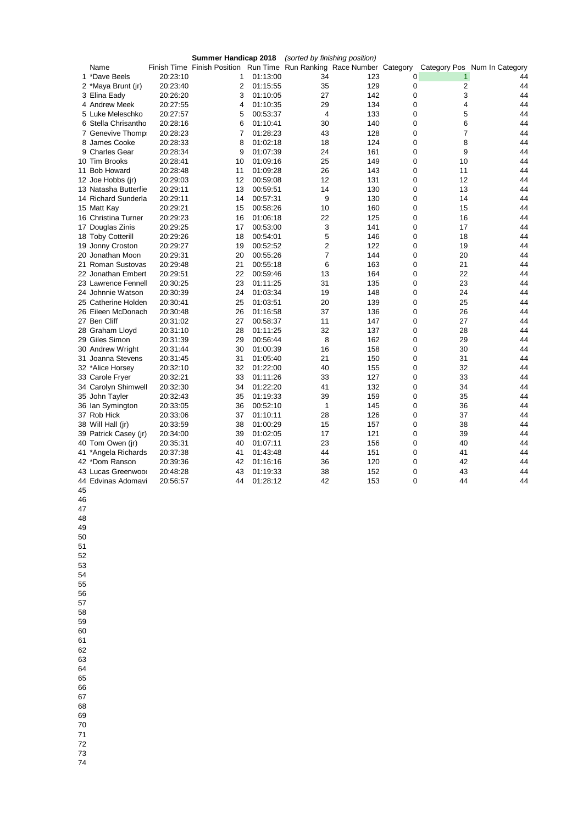|                       |          |                                                                       | (sorted by finishing position) |    |     |             |    |                              |
|-----------------------|----------|-----------------------------------------------------------------------|--------------------------------|----|-----|-------------|----|------------------------------|
| Name                  |          | Finish Time Finish Position Run Time Run Ranking Race Number Category |                                |    |     |             |    | Category Pos Num In Category |
| 1 *Dave Beels         | 20:23:10 | 1                                                                     | 01:13:00                       | 34 | 123 | 0           | 1  | 44                           |
| 2 *Maya Brunt (jr)    | 20:23:40 | 2                                                                     | 01:15:55                       | 35 | 129 | 0           | 2  | 44                           |
| 3 Elina Eady          | 20:26:20 | 3                                                                     | 01:10:05                       | 27 | 142 | $\mathbf 0$ | 3  | 44                           |
| 4 Andrew Meek         | 20:27:55 | 4                                                                     | 01:10:35                       | 29 | 134 | 0           | 4  | 44                           |
| 5 Luke Meleschko      | 20:27:57 | 5                                                                     | 00:53:37                       | 4  | 133 | 0           | 5  | 44                           |
| 6 Stella Chrisantho   | 20:28:16 | 6                                                                     | 01:10:41                       | 30 | 140 | $\mathbf 0$ | 6  | 44                           |
| 7 Genevive Thomp      | 20:28:23 | 7                                                                     | 01:28:23                       | 43 | 128 | 0           | 7  | 44                           |
| 8 James Cooke         | 20:28:33 | 8                                                                     | 01:02:18                       | 18 | 124 | $\mathbf 0$ | 8  | 44                           |
| 9 Charles Gear        | 20:28:34 | 9                                                                     | 01:07:39                       | 24 | 161 | $\mathbf 0$ | 9  | 44                           |
| 10 Tim Brooks         | 20:28:41 | 10                                                                    | 01:09:16                       | 25 | 149 | 0           | 10 | 44                           |
| 11 Bob Howard         | 20:28:48 | 11                                                                    | 01:09:28                       | 26 | 143 | $\Omega$    | 11 | 44                           |
| 12 Joe Hobbs (jr)     | 20:29:03 | 12                                                                    | 00:59:08                       | 12 | 131 | 0           | 12 | 44                           |
| 13 Natasha Butterfie  | 20:29:11 | 13                                                                    | 00:59:51                       | 14 | 130 | 0           | 13 | 44                           |
| 14 Richard Sunderla   | 20:29:11 | 14                                                                    | 00:57:31                       | 9  | 130 | 0           | 14 | 44                           |
| 15 Matt Kay           | 20:29:21 | 15                                                                    | 00:58:26                       | 10 | 160 | 0           | 15 | 44                           |
| 16 Christina Turner   | 20:29:23 | 16                                                                    | 01:06:18                       | 22 | 125 | $\mathbf 0$ | 16 | 44                           |
| 17 Douglas Zinis      | 20:29:25 | 17                                                                    | 00:53:00                       | 3  | 141 | 0           | 17 | 44                           |
| 18 Toby Cotterill     | 20:29:26 | 18                                                                    | 00:54:01                       | 5  | 146 | $\mathbf 0$ | 18 | 44                           |
| 19 Jonny Croston      | 20:29:27 | 19                                                                    | 00:52:52                       | 2  | 122 | 0           | 19 | 44                           |
| 20 Jonathan Moon      | 20:29:31 | 20                                                                    | 00:55:26                       | 7  | 144 | $\mathbf 0$ | 20 | 44                           |
| 21 Roman Sustovas     | 20:29:48 | 21                                                                    | 00:55:18                       | 6  | 163 | 0           | 21 | 44                           |
| 22 Jonathan Embert    | 20:29:51 | 22                                                                    | 00:59:46                       | 13 | 164 | $\mathbf 0$ | 22 | 44                           |
| 23 Lawrence Fennell   | 20:30:25 | 23                                                                    | 01:11:25                       | 31 | 135 | 0           | 23 | 44                           |
| 24 Johnnie Watson     | 20:30:39 | 24                                                                    | 01:03:34                       | 19 | 148 | $\mathbf 0$ | 24 | 44                           |
| 25 Catherine Holden   | 20:30:41 | 25                                                                    | 01:03:51                       | 20 | 139 | 0           | 25 | 44                           |
| 26 Eileen McDonach    | 20:30:48 | 26                                                                    | 01:16:58                       | 37 | 136 | $\mathbf 0$ | 26 | 44                           |
| 27 Ben Cliff          | 20:31:02 | 27                                                                    | 00:58:37                       | 11 | 147 | $\mathbf 0$ | 27 | 44                           |
| 28 Graham Lloyd       | 20:31:10 | 28                                                                    | 01:11:25                       | 32 | 137 | $\mathbf 0$ | 28 | 44                           |
| 29 Giles Simon        | 20:31:39 | 29                                                                    | 00:56:44                       | 8  | 162 | 0           | 29 | 44                           |
| 30 Andrew Wright      | 20:31:44 | 30                                                                    | 01:00:39                       | 16 | 158 | $\Omega$    | 30 | 44                           |
| 31 Joanna Stevens     | 20:31:45 | 31                                                                    | 01:05:40                       | 21 | 150 | 0           | 31 | 44                           |
| 32 *Alice Horsey      | 20:32:10 | 32                                                                    | 01:22:00                       | 40 | 155 | 0           | 32 | 44                           |
| 33 Carole Fryer       | 20:32:21 | 33                                                                    | 01:11:26                       | 33 | 127 | $\mathbf 0$ | 33 | 44                           |
| 34 Carolyn Shimwell   | 20:32:30 | 34                                                                    | 01:22:20                       | 41 | 132 | 0           | 34 | 44                           |
| 35 John Tayler        | 20:32:43 | 35                                                                    | 01:19:33                       | 39 | 159 | 0           | 35 | 44                           |
| 36 Ian Symington      | 20:33:05 | 36                                                                    | 00:52:10                       | 1  | 145 | 0           | 36 | 44                           |
| 37 Rob Hick           | 20:33:06 | 37                                                                    | 01:10:11                       | 28 | 126 | 0           | 37 | 44                           |
| 38 Will Hall (jr)     | 20:33:59 | 38                                                                    | 01:00:29                       | 15 | 157 | 0           | 38 | 44                           |
| 39 Patrick Casey (jr) | 20:34:00 | 39                                                                    | 01:02:05                       | 17 | 121 | 0           | 39 | 44                           |
| 40 Tom Owen (jr)      | 20:35:31 | 40                                                                    | 01:07:11                       | 23 | 156 | 0           | 40 | 44                           |
| 41 *Angela Richards   | 20:37:38 | 41                                                                    | 01:43:48                       | 44 | 151 | 0           | 41 | 44                           |
| 42 *Dom Ranson        | 20:39:36 | 42                                                                    | 01:16:16                       | 36 | 120 | 0           | 42 | 44                           |
| 43 Lucas Greenwoor    | 20:48:28 | 43                                                                    | 01:19:33                       | 38 | 152 | $\mathbf 0$ | 43 | 44                           |
|                       |          | 44                                                                    | 01:28:12                       | 42 | 153 | $\Omega$    | 44 | 44                           |
| 44 Edvinas Adomavi    | 20:56:57 |                                                                       |                                |    |     |             |    |                              |

- 
-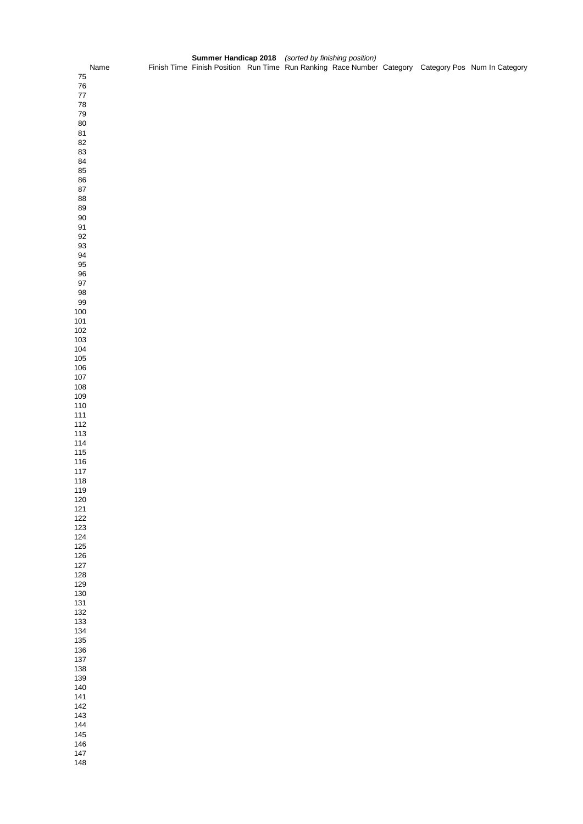|            | Name |  |  |  |  | Finish Time Finish Position Run Time Run Ranking Race Number Category Category Pos Num In Category |
|------------|------|--|--|--|--|----------------------------------------------------------------------------------------------------|
| 75         |      |  |  |  |  |                                                                                                    |
| ${\bf 76}$ |      |  |  |  |  |                                                                                                    |
| $77\,$     |      |  |  |  |  |                                                                                                    |
| ${\bf 78}$ |      |  |  |  |  |                                                                                                    |
| 79         |      |  |  |  |  |                                                                                                    |
|            |      |  |  |  |  |                                                                                                    |
| $80\,$     |      |  |  |  |  |                                                                                                    |
| 81         |      |  |  |  |  |                                                                                                    |
| 82         |      |  |  |  |  |                                                                                                    |
| 83         |      |  |  |  |  |                                                                                                    |
| 84         |      |  |  |  |  |                                                                                                    |
| 85         |      |  |  |  |  |                                                                                                    |
| 86         |      |  |  |  |  |                                                                                                    |
| ${\bf 87}$ |      |  |  |  |  |                                                                                                    |
|            |      |  |  |  |  |                                                                                                    |
| 88         |      |  |  |  |  |                                                                                                    |
| 89         |      |  |  |  |  |                                                                                                    |
| $90\,$     |      |  |  |  |  |                                                                                                    |
| 91         |      |  |  |  |  |                                                                                                    |
| 92         |      |  |  |  |  |                                                                                                    |
| $93\,$     |      |  |  |  |  |                                                                                                    |
| 94         |      |  |  |  |  |                                                                                                    |
| 95         |      |  |  |  |  |                                                                                                    |
| $96\,$     |      |  |  |  |  |                                                                                                    |
|            |      |  |  |  |  |                                                                                                    |
| $97\,$     |      |  |  |  |  |                                                                                                    |
| 98         |      |  |  |  |  |                                                                                                    |
| 99         |      |  |  |  |  |                                                                                                    |
| $100\,$    |      |  |  |  |  |                                                                                                    |
| 101        |      |  |  |  |  |                                                                                                    |
| $102$      |      |  |  |  |  |                                                                                                    |
| 103        |      |  |  |  |  |                                                                                                    |
| 104        |      |  |  |  |  |                                                                                                    |
| 105        |      |  |  |  |  |                                                                                                    |
|            |      |  |  |  |  |                                                                                                    |
| 106        |      |  |  |  |  |                                                                                                    |
| 107        |      |  |  |  |  |                                                                                                    |
| 108        |      |  |  |  |  |                                                                                                    |
| 109        |      |  |  |  |  |                                                                                                    |
| 110        |      |  |  |  |  |                                                                                                    |
| $111$      |      |  |  |  |  |                                                                                                    |
| 112        |      |  |  |  |  |                                                                                                    |
| 113        |      |  |  |  |  |                                                                                                    |
| 114        |      |  |  |  |  |                                                                                                    |
| 115        |      |  |  |  |  |                                                                                                    |
|            |      |  |  |  |  |                                                                                                    |
| 116        |      |  |  |  |  |                                                                                                    |
| 117        |      |  |  |  |  |                                                                                                    |
| 118        |      |  |  |  |  |                                                                                                    |
| 119        |      |  |  |  |  |                                                                                                    |
| 120        |      |  |  |  |  |                                                                                                    |
| 121        |      |  |  |  |  |                                                                                                    |
| 122        |      |  |  |  |  |                                                                                                    |
| 123        |      |  |  |  |  |                                                                                                    |
| 124        |      |  |  |  |  |                                                                                                    |
| 125        |      |  |  |  |  |                                                                                                    |
|            |      |  |  |  |  |                                                                                                    |
| 126        |      |  |  |  |  |                                                                                                    |
| 127        |      |  |  |  |  |                                                                                                    |
| 128        |      |  |  |  |  |                                                                                                    |
| 129        |      |  |  |  |  |                                                                                                    |
| 130        |      |  |  |  |  |                                                                                                    |
| 131        |      |  |  |  |  |                                                                                                    |
| 132        |      |  |  |  |  |                                                                                                    |
| 133        |      |  |  |  |  |                                                                                                    |
| 134        |      |  |  |  |  |                                                                                                    |
| 135        |      |  |  |  |  |                                                                                                    |
| 136        |      |  |  |  |  |                                                                                                    |
|            |      |  |  |  |  |                                                                                                    |
| 137        |      |  |  |  |  |                                                                                                    |
| 138        |      |  |  |  |  |                                                                                                    |
| 139        |      |  |  |  |  |                                                                                                    |
| 140        |      |  |  |  |  |                                                                                                    |
| 141        |      |  |  |  |  |                                                                                                    |
| 142        |      |  |  |  |  |                                                                                                    |
| 143        |      |  |  |  |  |                                                                                                    |
| $144$      |      |  |  |  |  |                                                                                                    |
|            |      |  |  |  |  |                                                                                                    |
| 145        |      |  |  |  |  |                                                                                                    |
| 146        |      |  |  |  |  |                                                                                                    |
| 147        |      |  |  |  |  |                                                                                                    |
| 148        |      |  |  |  |  |                                                                                                    |
|            |      |  |  |  |  |                                                                                                    |

**Summer Handicap 2018** *(sorted by finishing position)*